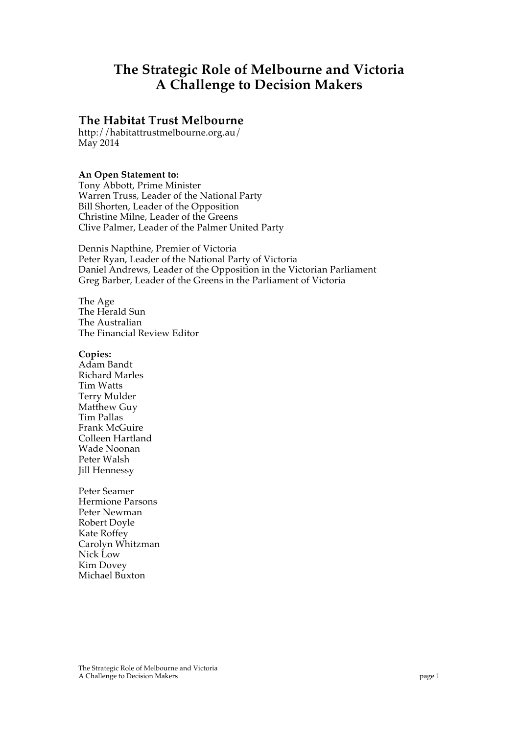# **The Strategic Role of Melbourne and Victoria A Challenge to Decision Makers**

### **The Habitat Trust Melbourne**

http://habitattrustmelbourne.org.au/ May 2014

#### **An Open Statement to:**

Tony Abbott, Prime Minister Warren Truss, Leader of the National Party Bill Shorten, Leader of the Opposition Christine Milne, Leader of the Greens Clive Palmer, Leader of the Palmer United Party

Dennis Napthine, Premier of Victoria Peter Ryan, Leader of the National Party of Victoria Daniel Andrews, Leader of the Opposition in the Victorian Parliament Greg Barber, Leader of the Greens in the Parliament of Victoria

The Age The Herald Sun The Australian The Financial Review Editor

#### **Copies:**

Adam Bandt Richard Marles Tim Watts Terry Mulder Matthew Guy Tim Pallas Frank McGuire Colleen Hartland Wade Noonan Peter Walsh Jill Hennessy

Peter Seamer Hermione Parsons Peter Newman Robert Doyle Kate Roffey Carolyn Whitzman Nick Low Kim Dovey Michael Buxton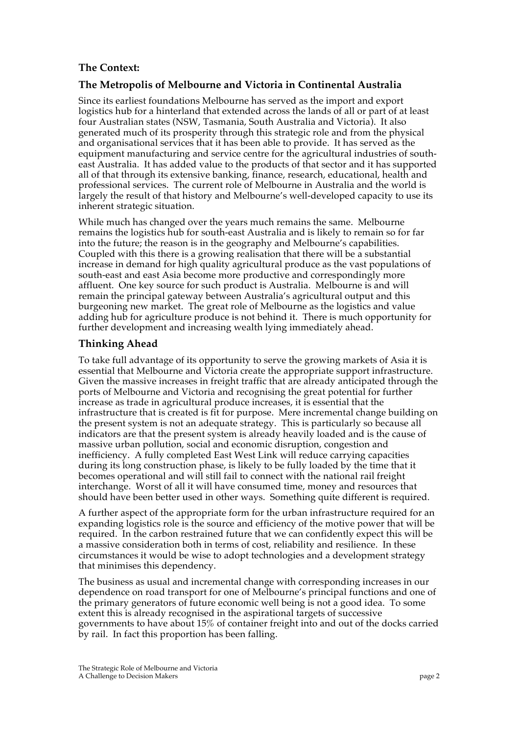## **The Context:**

#### **The Metropolis of Melbourne and Victoria in Continental Australia**

Since its earliest foundations Melbourne has served as the import and export logistics hub for a hinterland that extended across the lands of all or part of at least four Australian states (NSW, Tasmania, South Australia and Victoria). It also generated much of its prosperity through this strategic role and from the physical and organisational services that it has been able to provide. It has served as the equipment manufacturing and service centre for the agricultural industries of southeast Australia. It has added value to the products of that sector and it has supported all of that through its extensive banking, finance, research, educational, health and professional services. The current role of Melbourne in Australia and the world is largely the result of that history and Melbourne's well-developed capacity to use its inherent strategic situation.

While much has changed over the years much remains the same. Melbourne remains the logistics hub for south-east Australia and is likely to remain so for far into the future; the reason is in the geography and Melbourne's capabilities. Coupled with this there is a growing realisation that there will be a substantial increase in demand for high quality agricultural produce as the vast populations of south-east and east Asia become more productive and correspondingly more affluent. One key source for such product is Australia. Melbourne is and will remain the principal gateway between Australia's agricultural output and this burgeoning new market. The great role of Melbourne as the logistics and value adding hub for agriculture produce is not behind it. There is much opportunity for further development and increasing wealth lying immediately ahead.

### **Thinking Ahead**

To take full advantage of its opportunity to serve the growing markets of Asia it is essential that Melbourne and Victoria create the appropriate support infrastructure. Given the massive increases in freight traffic that are already anticipated through the ports of Melbourne and Victoria and recognising the great potential for further increase as trade in agricultural produce increases, it is essential that the infrastructure that is created is fit for purpose. Mere incremental change building on the present system is not an adequate strategy. This is particularly so because all indicators are that the present system is already heavily loaded and is the cause of massive urban pollution, social and economic disruption, congestion and inefficiency. A fully completed East West Link will reduce carrying capacities during its long construction phase, is likely to be fully loaded by the time that it becomes operational and will still fail to connect with the national rail freight interchange. Worst of all it will have consumed time, money and resources that should have been better used in other ways. Something quite different is required.

A further aspect of the appropriate form for the urban infrastructure required for an expanding logistics role is the source and efficiency of the motive power that will be required. In the carbon restrained future that we can confidently expect this will be a massive consideration both in terms of cost, reliability and resilience. In these circumstances it would be wise to adopt technologies and a development strategy that minimises this dependency.

The business as usual and incremental change with corresponding increases in our dependence on road transport for one of Melbourne's principal functions and one of the primary generators of future economic well being is not a good idea. To some extent this is already recognised in the aspirational targets of successive governments to have about 15% of container freight into and out of the docks carried by rail. In fact this proportion has been falling.